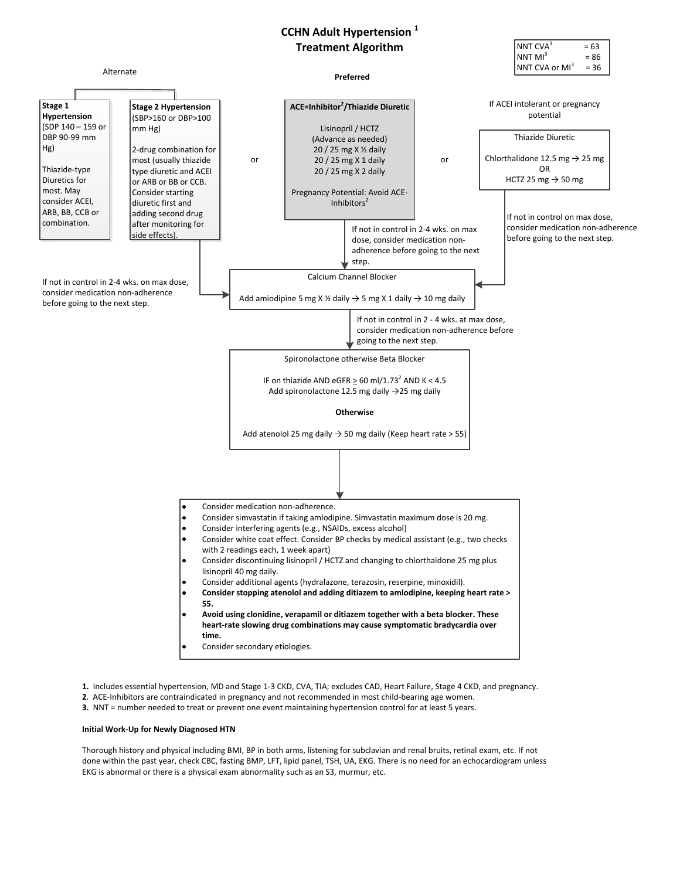# CCHN Adult Hypertension<sup>1</sup>



1. Includes essential hypertension, MD and Stage 1-3 CKD, CVA, TIA; excludes CAD, Heart Failure, Stage 4 CKD, and pregnancy.

- 2. ACE-Inhibitors are contraindicated in pregnancy and not recommended in most child-bearing age women.
- 3. NNT = number needed to treat or prevent one event maintaining hypertension control for at least 5 years.

## Initial Work-Up for Newly Diagnosed HTN

Stage 1

Hg)

most. May

Thorough history and physical including BMI, BP in both arms, listening for subclavian and renal bruits, retinal exam, etc. If not done within the past year, check CBC, fasting BMP, LFT, lipid panel, TSH, UA, EKG. There is no need for an echocardiogram unless EKG is abnormal or there is a physical exam abnormality such as an S3, murmur, etc.